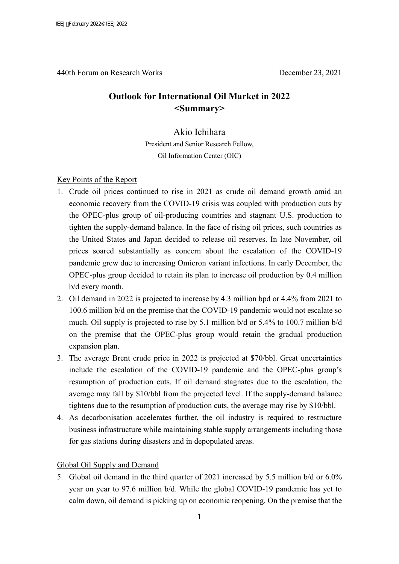440th Forum on Research Works December 23, 2021

# **Outlook for International Oil Market in 2022 <Summary>**

## Akio Ichihara

President and Senior Research Fellow, Oil Information Center (OIC)

### Key Points of the Report

- 1. Crude oil prices continued to rise in 2021 as crude oil demand growth amid an economic recovery from the COVID-19 crisis was coupled with production cuts by the OPEC-plus group of oil-producing countries and stagnant U.S. production to tighten the supply-demand balance. In the face of rising oil prices, such countries as the United States and Japan decided to release oil reserves. In late November, oil prices soared substantially as concern about the escalation of the COVID-19 pandemic grew due to increasing Omicron variant infections. In early December, the OPEC-plus group decided to retain its plan to increase oil production by 0.4 million b/d every month.
- 2. Oil demand in 2022 is projected to increase by 4.3 million bpd or 4.4% from 2021 to 100.6 million b/d on the premise that the COVID-19 pandemic would not escalate so much. Oil supply is projected to rise by 5.1 million b/d or 5.4% to 100.7 million b/d on the premise that the OPEC-plus group would retain the gradual production expansion plan.
- 3. The average Brent crude price in 2022 is projected at \$70/bbl. Great uncertainties include the escalation of the COVID-19 pandemic and the OPEC-plus group's resumption of production cuts. If oil demand stagnates due to the escalation, the average may fall by \$10/bbl from the projected level. If the supply-demand balance tightens due to the resumption of production cuts, the average may rise by \$10/bbl.
- 4. As decarbonisation accelerates further, the oil industry is required to restructure business infrastructure while maintaining stable supply arrangements including those for gas stations during disasters and in depopulated areas.

#### Global Oil Supply and Demand

5. Global oil demand in the third quarter of 2021 increased by 5.5 million b/d or 6.0% year on year to 97.6 million b/d. While the global COVID-19 pandemic has yet to calm down, oil demand is picking up on economic reopening. On the premise that the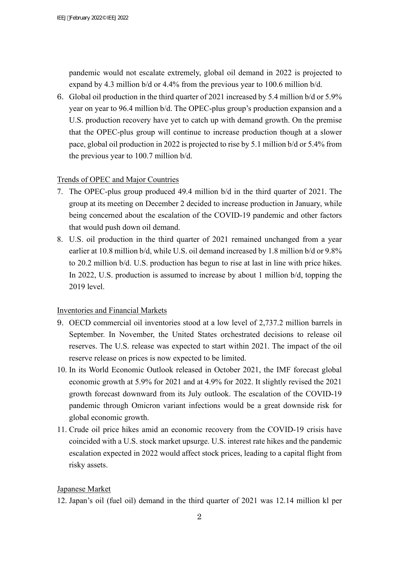pandemic would not escalate extremely, global oil demand in 2022 is projected to expand by 4.3 million b/d or 4.4% from the previous year to 100.6 million b/d.

6. Global oil production in the third quarter of 2021 increased by 5.4 million b/d or 5.9% year on year to 96.4 million b/d. The OPEC-plus group's production expansion and a U.S. production recovery have yet to catch up with demand growth. On the premise that the OPEC-plus group will continue to increase production though at a slower pace, global oil production in 2022 is projected to rise by 5.1 million b/d or 5.4% from the previous year to 100.7 million b/d.

## Trends of OPEC and Major Countries

- 7. The OPEC-plus group produced 49.4 million b/d in the third quarter of 2021. The group at its meeting on December 2 decided to increase production in January, while being concerned about the escalation of the COVID-19 pandemic and other factors that would push down oil demand.
- 8. U.S. oil production in the third quarter of 2021 remained unchanged from a year earlier at 10.8 million b/d, while U.S. oil demand increased by 1.8 million b/d or 9.8% to 20.2 million b/d. U.S. production has begun to rise at last in line with price hikes. In 2022, U.S. production is assumed to increase by about 1 million b/d, topping the 2019 level.

# Inventories and Financial Markets

- 9. OECD commercial oil inventories stood at a low level of 2,737.2 million barrels in September. In November, the United States orchestrated decisions to release oil reserves. The U.S. release was expected to start within 2021. The impact of the oil reserve release on prices is now expected to be limited.
- 10. In its World Economic Outlook released in October 2021, the IMF forecast global economic growth at 5.9% for 2021 and at 4.9% for 2022. It slightly revised the 2021 growth forecast downward from its July outlook. The escalation of the COVID-19 pandemic through Omicron variant infections would be a great downside risk for global economic growth.
- 11. Crude oil price hikes amid an economic recovery from the COVID-19 crisis have coincided with a U.S. stock market upsurge. U.S. interest rate hikes and the pandemic escalation expected in 2022 would affect stock prices, leading to a capital flight from risky assets.

### Japanese Market

12. Japan's oil (fuel oil) demand in the third quarter of 2021 was 12.14 million kl per